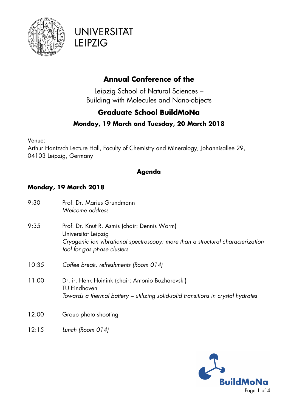



### **Annual Conference of the**

Leipzig School of Natural Sciences – Building with Molecules and Nano-objects

### **Graduate School BuildMoNa**

#### **Monday, 19 March and Tuesday, 20 March 2018**

Venue:

Arthur Hantzsch Lecture Hall, Faculty of Chemistry and Mineralogy, Johannisallee 29, 04103 Leipzig, Germany

#### **Agenda**

### **Monday, 19 March 2018**

| 9:30  | Prof. Dr. Marius Grundmann<br>Welcome address                                                                                                                                         |
|-------|---------------------------------------------------------------------------------------------------------------------------------------------------------------------------------------|
| 9:35  | Prof. Dr. Knut R. Asmis (chair: Dennis Worm)<br>Universität Leipzig<br>Cryogenic ion vibrational spectroscopy: more than a structural characterization<br>tool for gas phase clusters |
| 10:35 | Coffee break, refreshments (Room 014)                                                                                                                                                 |
| 11:00 | Dr. ir. Henk Huinink (chair: Antonio Buzharevski)<br><b>TU Eindhoven</b><br>Towards a thermal battery – utilizing solid-solid transitions in crystal hydrates                         |
| 12:00 | Group photo shooting                                                                                                                                                                  |
| 12:15 | Lunch (Room 014)                                                                                                                                                                      |

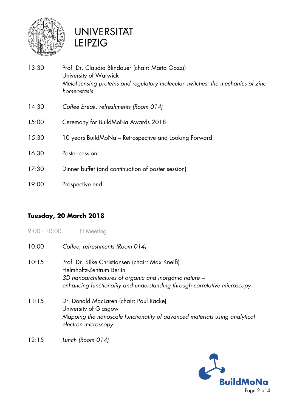

# **UNIVERSITÄT LEIPZIG**

13:30 Prof. Dr. Claudia Blindauer (chair: Marta Gozzi) University of Warwick *Metal-sensing proteins and regulatory molecular switches: the mechanics of zinc homeostasis* 14:30 *Coffee break, refreshments (Room 014)* 15:00 Ceremony for BuildMoNa Awards 2018 15:30 10 years BuildMoNa – Retrospective and Looking Forward 16:30 Poster session 17:30 Dinner buffet (and continuation of poster session) 19:00 Prospective end

#### **Tuesday, 20 March 2018**

- 9:00 10:00 PI Meeting
- 10:00 *Coffee, refreshments (Room 014)* 10:15 Prof. Dr. Silke Christiansen (chair: Max Kneiß) Helmholtz-Zentrum Berlin *3D nanoarchitectures of organic and inorganic nature – enhancing functionality and understanding through correlative microscopy* 11:15 Dr. Donald MacLaren (chair: Paul Räcke) University of Glasgow *Mapping the nanoscale functionality of advanced materials using analytical electron microscopy*
- 12:15 *Lunch (Room 014)*

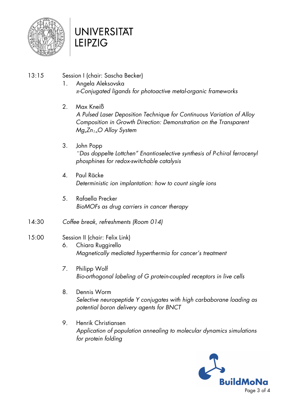

## **UNIVERSITÄT LEIPZIG**

- 13:15 Session I (chair: Sascha Becker)
	- 1. Angela Aleksovska *π-Conjugated ligands for photoactive metal-organic frameworks*
	- 2. Max Kneiß *A Pulsed Laser Deposition Technique for Continuous Variation of Alloy Composition in Growth Direction: Demonstration on the Transparent MgxZn1-xO Alloy System*
	- 3. John Popp *"Das doppelte Lottchen" Enantioselective synthesis of P-chiral ferrocenyl phosphines for redox-switchable catalysis*
	- 4. Paul Räcke *Deterministic ion implantation: how to count single ions*
	- 5. Rafaella Precker *BioMOFs as drug carriers in cancer therapy*
- 14:30 *Coffee break, refreshments (Room 014)*

### 15:00 Session II (chair: Felix Link)

- 6. Chiara Ruggirello *Magnetically mediated hyperthermia for cancer's treatment*
- 7. Philipp Wolf *Bio-orthogonal labeling of G protein-coupled receptors in live cells*
- 8. Dennis Worm *Selective neuropeptide Y conjugates with high carbaborane loading as potential boron delivery agents for BNCT*
- 9. Henrik Christiansen *Application of population annealing to molecular dynamics simulations for protein folding*